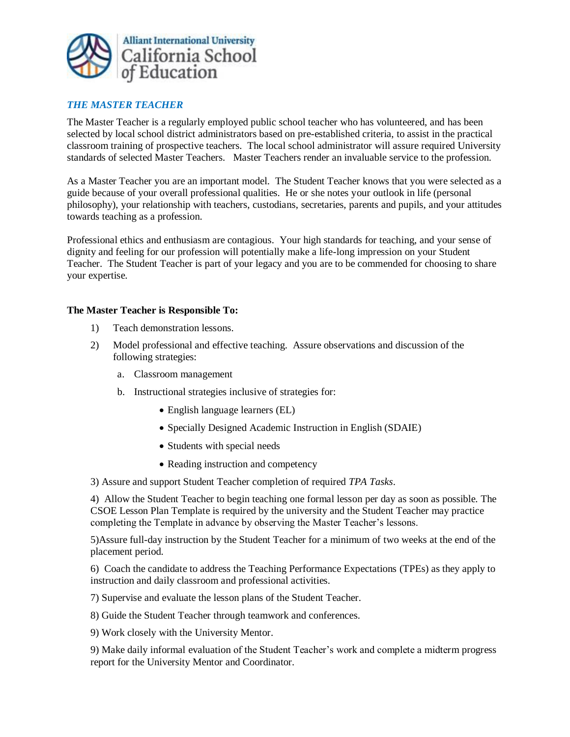

## *THE MASTER TEACHER*

The Master Teacher is a regularly employed public school teacher who has volunteered, and has been selected by local school district administrators based on pre-established criteria, to assist in the practical classroom training of prospective teachers. The local school administrator will assure required University standards of selected Master Teachers. Master Teachers render an invaluable service to the profession.

As a Master Teacher you are an important model. The Student Teacher knows that you were selected as a guide because of your overall professional qualities. He or she notes your outlook in life (personal philosophy), your relationship with teachers, custodians, secretaries, parents and pupils, and your attitudes towards teaching as a profession.

Professional ethics and enthusiasm are contagious. Your high standards for teaching, and your sense of dignity and feeling for our profession will potentially make a life-long impression on your Student Teacher. The Student Teacher is part of your legacy and you are to be commended for choosing to share your expertise.

## **The Master Teacher is Responsible To:**

- 1) Teach demonstration lessons.
- 2) Model professional and effective teaching. Assure observations and discussion of the following strategies:
	- a. Classroom management
	- b. Instructional strategies inclusive of strategies for:
		- English language learners (EL)
		- Specially Designed Academic Instruction in English (SDAIE)
		- Students with special needs
		- Reading instruction and competency

3) Assure and support Student Teacher completion of required *TPA Tasks*.

4) Allow the Student Teacher to begin teaching one formal lesson per day as soon as possible. The CSOE Lesson Plan Template is required by the university and the Student Teacher may practice completing the Template in advance by observing the Master Teacher's lessons.

5)Assure full-day instruction by the Student Teacher for a minimum of two weeks at the end of the placement period.

6) Coach the candidate to address the Teaching Performance Expectations (TPEs) as they apply to instruction and daily classroom and professional activities.

7) Supervise and evaluate the lesson plans of the Student Teacher.

8) Guide the Student Teacher through teamwork and conferences.

9) Work closely with the University Mentor.

9) Make daily informal evaluation of the Student Teacher's work and complete a midterm progress report for the University Mentor and Coordinator.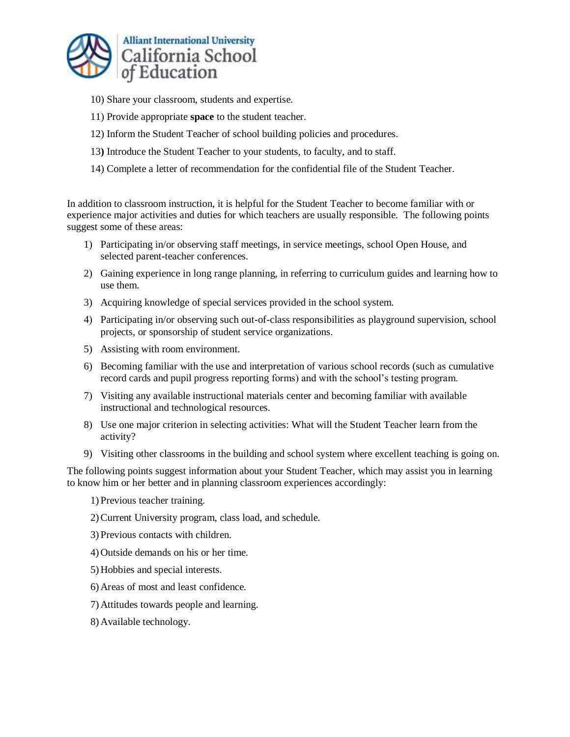

- 10) Share your classroom, students and expertise.
- 11) Provide appropriate **space** to the student teacher.
- 12) Inform the Student Teacher of school building policies and procedures.
- 13**)** Introduce the Student Teacher to your students, to faculty, and to staff.
- 14) Complete a letter of recommendation for the confidential file of the Student Teacher.

In addition to classroom instruction, it is helpful for the Student Teacher to become familiar with or experience major activities and duties for which teachers are usually responsible. The following points suggest some of these areas:

- 1) Participating in/or observing staff meetings, in service meetings, school Open House, and selected parent-teacher conferences.
- 2) Gaining experience in long range planning, in referring to curriculum guides and learning how to use them.
- 3) Acquiring knowledge of special services provided in the school system.
- 4) Participating in/or observing such out-of-class responsibilities as playground supervision, school projects, or sponsorship of student service organizations.
- 5) Assisting with room environment.
- 6) Becoming familiar with the use and interpretation of various school records (such as cumulative record cards and pupil progress reporting forms) and with the school's testing program.
- 7) Visiting any available instructional materials center and becoming familiar with available instructional and technological resources.
- 8) Use one major criterion in selecting activities: What will the Student Teacher learn from the activity?
- 9) Visiting other classrooms in the building and school system where excellent teaching is going on.

The following points suggest information about your Student Teacher, which may assist you in learning to know him or her better and in planning classroom experiences accordingly:

- 1) Previous teacher training.
- 2)Current University program, class load, and schedule.
- 3) Previous contacts with children.
- 4) Outside demands on his or her time.
- 5) Hobbies and special interests.
- 6) Areas of most and least confidence.
- 7) Attitudes towards people and learning.
- 8) Available technology.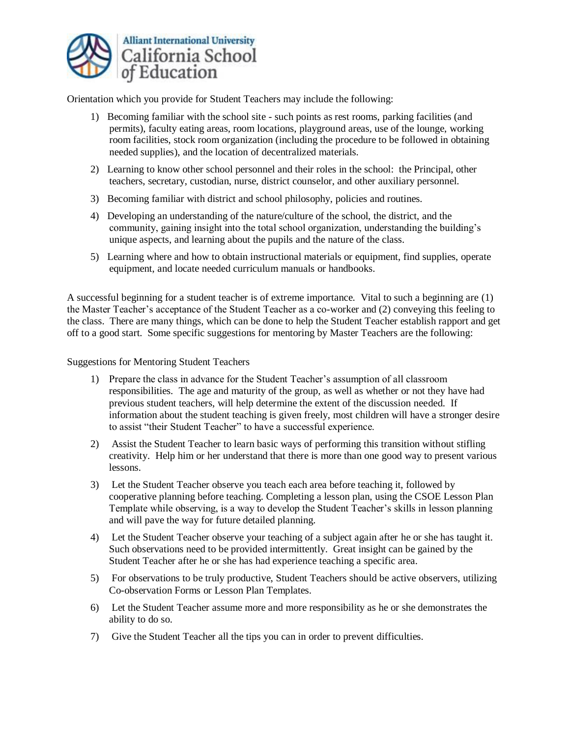

Orientation which you provide for Student Teachers may include the following:

- 1) Becoming familiar with the school site such points as rest rooms, parking facilities (and permits), faculty eating areas, room locations, playground areas, use of the lounge, working room facilities, stock room organization (including the procedure to be followed in obtaining needed supplies), and the location of decentralized materials.
- 2) Learning to know other school personnel and their roles in the school: the Principal, other teachers, secretary, custodian, nurse, district counselor, and other auxiliary personnel.
- 3) Becoming familiar with district and school philosophy, policies and routines.
- 4) Developing an understanding of the nature/culture of the school, the district, and the community, gaining insight into the total school organization, understanding the building's unique aspects, and learning about the pupils and the nature of the class.
- 5) Learning where and how to obtain instructional materials or equipment, find supplies, operate equipment, and locate needed curriculum manuals or handbooks.

A successful beginning for a student teacher is of extreme importance. Vital to such a beginning are (1) the Master Teacher's acceptance of the Student Teacher as a co-worker and (2) conveying this feeling to the class. There are many things, which can be done to help the Student Teacher establish rapport and get off to a good start. Some specific suggestions for mentoring by Master Teachers are the following:

Suggestions for Mentoring Student Teachers

- 1) Prepare the class in advance for the Student Teacher's assumption of all classroom responsibilities. The age and maturity of the group, as well as whether or not they have had previous student teachers, will help determine the extent of the discussion needed. If information about the student teaching is given freely, most children will have a stronger desire to assist "their Student Teacher" to have a successful experience.
- 2) Assist the Student Teacher to learn basic ways of performing this transition without stifling creativity. Help him or her understand that there is more than one good way to present various lessons.
- 3) Let the Student Teacher observe you teach each area before teaching it, followed by cooperative planning before teaching. Completing a lesson plan, using the CSOE Lesson Plan Template while observing, is a way to develop the Student Teacher's skills in lesson planning and will pave the way for future detailed planning.
- 4) Let the Student Teacher observe your teaching of a subject again after he or she has taught it. Such observations need to be provided intermittently. Great insight can be gained by the Student Teacher after he or she has had experience teaching a specific area.
- 5) For observations to be truly productive, Student Teachers should be active observers, utilizing Co-observation Forms or Lesson Plan Templates.
- 6) Let the Student Teacher assume more and more responsibility as he or she demonstrates the ability to do so.
- 7) Give the Student Teacher all the tips you can in order to prevent difficulties.